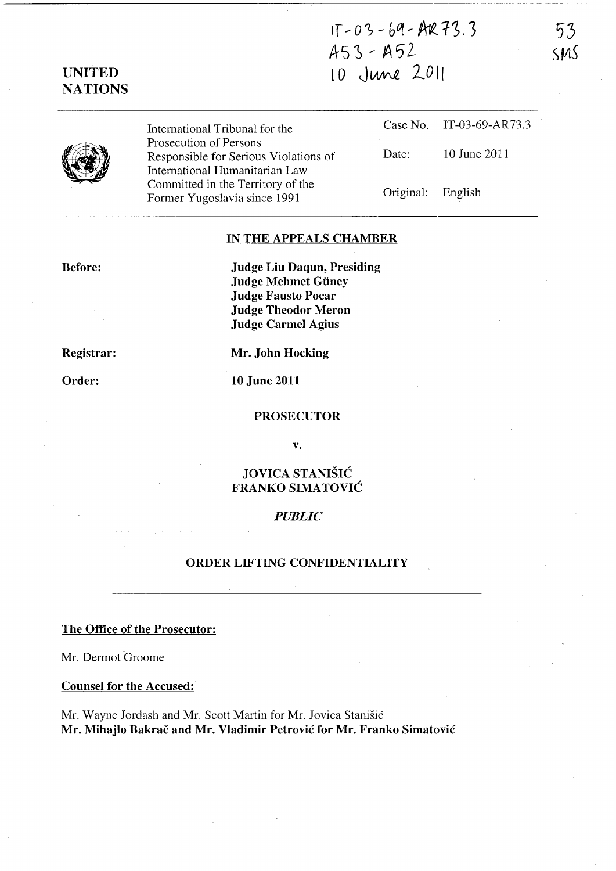If ~ *03* - *hq* - ~ 1~. ')  $A53 - A52$ 10 June 2011

53 SMS



UNITED **NATIONS** 

> International Tribunal for the Prosecution of Persons Responsible for Serious Violations of International Humanitarian Law Committed in the Territory of the Former Yugoslavia since 1991

Case No. IT-03-69-AR73.3 Date: 10 June 2011 Original: English

### IN THE APPEALS CHAMBER

Before:

Judge Liu Daqun, Presiding Judge Mehmet Giiney Judge Fausto Pocar Judge Theodor Meron Judge Carmel Agius

Registrar:

Order:

Mr. John Hocking

10 June 2011

#### PROSECUTOR

v.

# JOVICA STANISIC FRANKO SIMATOVIC

## *PUBLIC*

## ORDER LIFTING CONFIDENTIALITY

The Office of the Prosecutor:

Mr. Dermot Groome

Counsel for the Accused:

Mr. Wayne Jordash and Mr. Scott Martin for Mr. Jovica Stanisic Mr. Mihajlo Bakrač and Mr. Vladimir Petrović for Mr. Franko Simatović